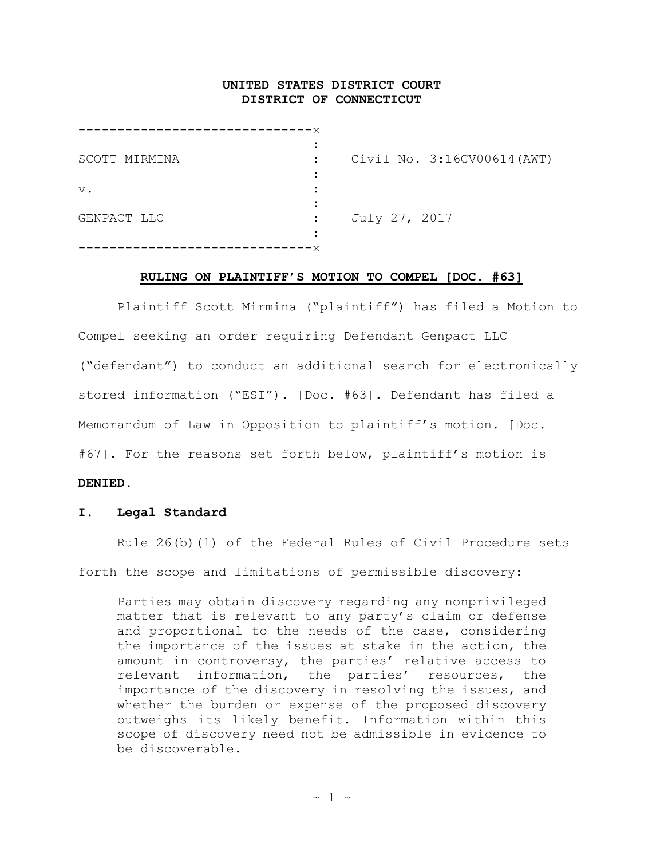# **UNITED STATES DISTRICT COURT DISTRICT OF CONNECTICUT**

| SCOTT MIRMINA |                      | Civil No. 3:16CV00614 (AWT) |
|---------------|----------------------|-----------------------------|
| $V$ .         |                      |                             |
| GENPACT LLC   | $\ddot{\phantom{a}}$ | July 27, 2017               |
|               |                      |                             |

#### **RULING ON PLAINTIFF'S MOTION TO COMPEL [DOC. #63]**

Plaintiff Scott Mirmina ("plaintiff") has filed a Motion to Compel seeking an order requiring Defendant Genpact LLC ("defendant") to conduct an additional search for electronically stored information ("ESI"). [Doc. #63]. Defendant has filed a Memorandum of Law in Opposition to plaintiff's motion. [Doc. #67]. For the reasons set forth below, plaintiff's motion is

# **DENIED.**

## **I. Legal Standard**

Rule 26(b)(1) of the Federal Rules of Civil Procedure sets forth the scope and limitations of permissible discovery:

Parties may obtain discovery regarding any nonprivileged matter that is relevant to any party's claim or defense and proportional to the needs of the case, considering the importance of the issues at stake in the action, the amount in controversy, the parties' relative access to relevant information, the parties' resources, the importance of the discovery in resolving the issues, and whether the burden or expense of the proposed discovery outweighs its likely benefit. Information within this scope of discovery need not be admissible in evidence to be discoverable.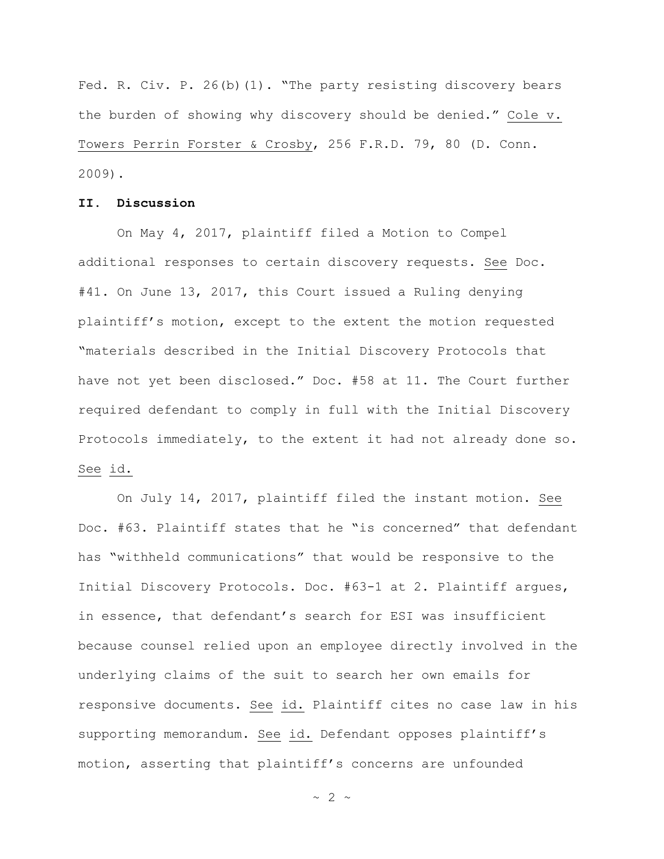Fed. R. Civ. P. 26(b)(1). "The party resisting discovery bears the burden of showing why discovery should be denied." Cole v. Towers Perrin Forster & Crosby, 256 F.R.D. 79, 80 (D. Conn. 2009).

### **II. Discussion**

On May 4, 2017, plaintiff filed a Motion to Compel additional responses to certain discovery requests. See Doc. #41. On June 13, 2017, this Court issued a Ruling denying plaintiff's motion, except to the extent the motion requested "materials described in the Initial Discovery Protocols that have not yet been disclosed." Doc. #58 at 11. The Court further required defendant to comply in full with the Initial Discovery Protocols immediately, to the extent it had not already done so. See id.

On July 14, 2017, plaintiff filed the instant motion. See Doc. #63. Plaintiff states that he "is concerned" that defendant has "withheld communications" that would be responsive to the Initial Discovery Protocols. Doc. #63-1 at 2. Plaintiff argues, in essence, that defendant's search for ESI was insufficient because counsel relied upon an employee directly involved in the underlying claims of the suit to search her own emails for responsive documents. See id. Plaintiff cites no case law in his supporting memorandum. See id. Defendant opposes plaintiff's motion, asserting that plaintiff's concerns are unfounded

 $\sim$  2  $\sim$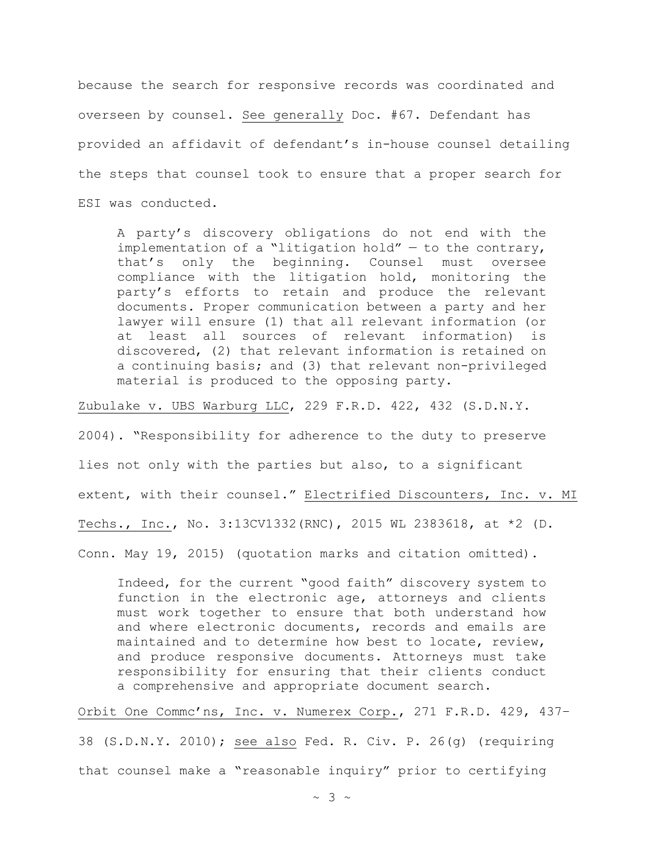because the search for responsive records was coordinated and overseen by counsel. See generally Doc. #67. Defendant has provided an affidavit of defendant's in-house counsel detailing the steps that counsel took to ensure that a proper search for ESI was conducted.

A party's discovery obligations do not end with the implementation of a "litigation hold"  $-$  to the contrary, that's only the beginning. Counsel must oversee compliance with the litigation hold, monitoring the party's efforts to retain and produce the relevant documents. Proper communication between a party and her lawyer will ensure (1) that all relevant information (or at least all sources of relevant information) is discovered, (2) that relevant information is retained on a continuing basis; and (3) that relevant non-privileged material is produced to the opposing party.

Zubulake v. UBS Warburg LLC, 229 F.R.D. 422, 432 (S.D.N.Y.

2004). "Responsibility for adherence to the duty to preserve

lies not only with the parties but also, to a significant

extent, with their counsel." Electrified Discounters, Inc. v. MI

Techs., Inc., No. 3:13CV1332(RNC), 2015 WL 2383618, at \*2 (D.

Conn. May 19, 2015) (quotation marks and citation omitted).

Indeed, for the current "good faith" discovery system to function in the electronic age, attorneys and clients must work together to ensure that both understand how and where electronic documents, records and emails are maintained and to determine how best to locate, review, and produce responsive documents. Attorneys must take responsibility for ensuring that their clients conduct a comprehensive and appropriate document search.

Orbit One Commc'ns, Inc. v. Numerex Corp., 271 F.R.D. 429, 437– 38 (S.D.N.Y. 2010); see also Fed. R. Civ. P. 26(g) (requiring that counsel make a "reasonable inquiry" prior to certifying

 $\sim$  3  $\sim$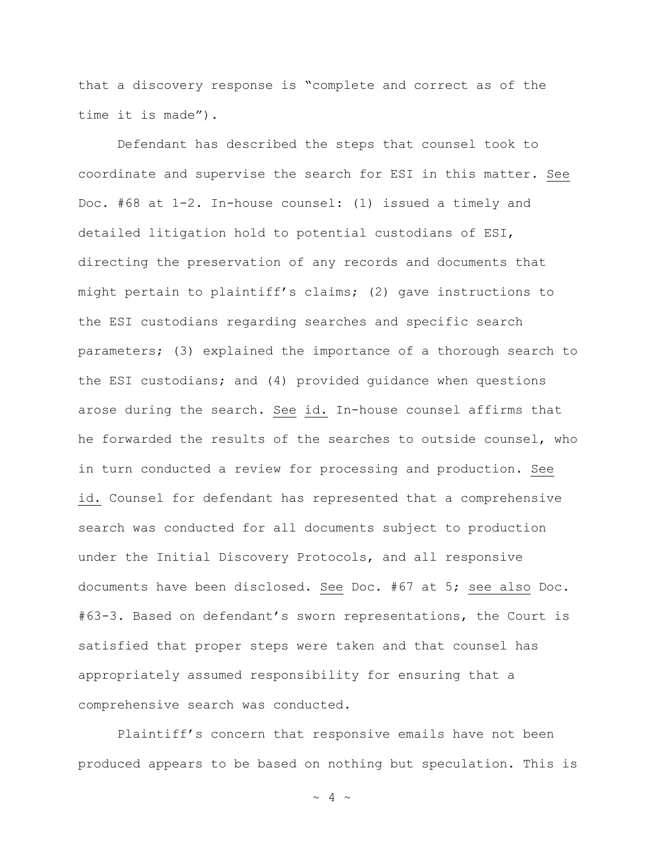that a discovery response is "complete and correct as of the time it is made").

Defendant has described the steps that counsel took to coordinate and supervise the search for ESI in this matter. See Doc. #68 at 1-2. In-house counsel: (1) issued a timely and detailed litigation hold to potential custodians of ESI, directing the preservation of any records and documents that might pertain to plaintiff's claims; (2) gave instructions to the ESI custodians regarding searches and specific search parameters; (3) explained the importance of a thorough search to the ESI custodians; and (4) provided guidance when questions arose during the search. See id. In-house counsel affirms that he forwarded the results of the searches to outside counsel, who in turn conducted a review for processing and production. See id. Counsel for defendant has represented that a comprehensive search was conducted for all documents subject to production under the Initial Discovery Protocols, and all responsive documents have been disclosed. See Doc. #67 at 5; see also Doc. #63-3. Based on defendant's sworn representations, the Court is satisfied that proper steps were taken and that counsel has appropriately assumed responsibility for ensuring that a comprehensive search was conducted.

Plaintiff's concern that responsive emails have not been produced appears to be based on nothing but speculation. This is

 $\sim$  4  $\sim$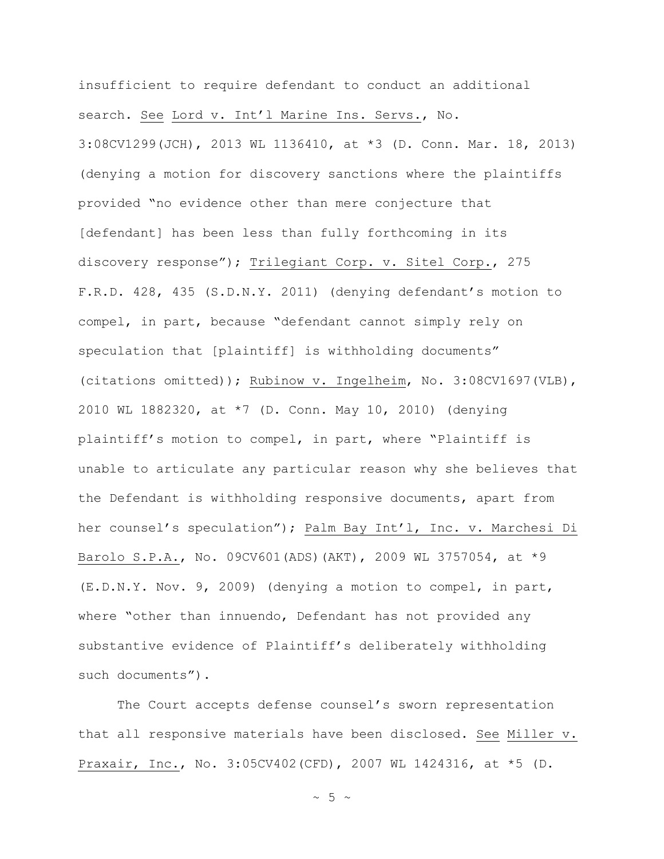insufficient to require defendant to conduct an additional search. See Lord v. Int'l Marine Ins. Servs., No. 3:08CV1299(JCH), 2013 WL 1136410, at \*3 (D. Conn. Mar. 18, 2013) (denying a motion for discovery sanctions where the plaintiffs

provided "no evidence other than mere conjecture that [defendant] has been less than fully forthcoming in its discovery response"); Trilegiant Corp. v. Sitel Corp., 275 F.R.D. 428, 435 (S.D.N.Y. 2011) (denying defendant's motion to compel, in part, because "defendant cannot simply rely on speculation that [plaintiff] is withholding documents" (citations omitted)); Rubinow v. Ingelheim, No. 3:08CV1697(VLB), 2010 WL 1882320, at \*7 (D. Conn. May 10, 2010) (denying plaintiff's motion to compel, in part, where "Plaintiff is unable to articulate any particular reason why she believes that the Defendant is withholding responsive documents, apart from her counsel's speculation"); Palm Bay Int'l, Inc. v. Marchesi Di Barolo S.P.A., No. 09CV601(ADS)(AKT), 2009 WL 3757054, at \*9 (E.D.N.Y. Nov. 9, 2009) (denying a motion to compel, in part, where "other than innuendo, Defendant has not provided any substantive evidence of Plaintiff's deliberately withholding such documents").

The Court accepts defense counsel's sworn representation that all responsive materials have been disclosed. See Miller v. Praxair, Inc., No. 3:05CV402(CFD), 2007 WL 1424316, at \*5 (D.

 $\sim$  5  $\sim$